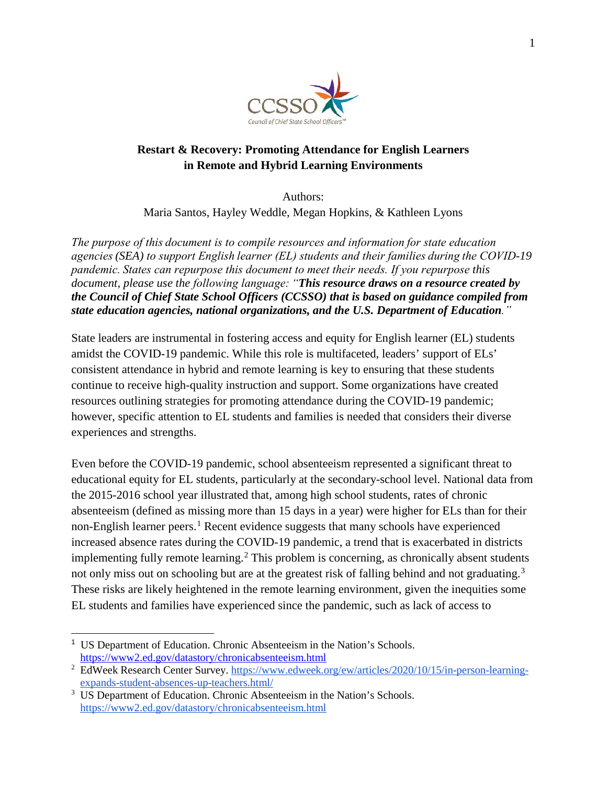

## **Restart & Recovery: Promoting Attendance for English Learners in Remote and Hybrid Learning Environments**

 Authors: Maria Santos, Hayley Weddle, Megan Hopkins, & Kathleen Lyons

*The purpose of this document is to compile resources and information for state education agencies (SEA) to support English learner (EL) students and their families during the COVID-19 pandemic. States can repurpose this document to meet their needs. If you repurpose this document, please use the following language: "This resource draws on a resource created by the Council of Chief State School Officers (CCSSO) that is based on guidance compiled from state education agencies, national organizations, and the U.S. Department of Education."*

State leaders are instrumental in fostering access and equity for English learner (EL) students amidst the COVID-19 pandemic. While this role is multifaceted, leaders' support of ELs' consistent attendance in hybrid and remote learning is key to ensuring that these students continue to receive high-quality instruction and support. Some organizations have created resources outlining strategies for promoting attendance during the COVID-19 pandemic; however, specific attention to EL students and families is needed that considers their diverse experiences and strengths.

Even before the COVID-19 pandemic, school absenteeism represented a significant threat to educational equity for EL students, particularly at the secondary-school level. National data from the 2015-2016 school year illustrated that, among high school students, rates of chronic absenteeism (defined as missing more than 15 days in a year) were higher for ELs than for their non-English learner peers.<sup>[1](#page-0-0)</sup> Recent evidence suggests that many schools have experienced increased absence rates during the COVID-19 pandemic, a trend that is exacerbated in districts implementing fully remote learning. [2](#page-0-1) This problem is concerning, as chronically absent students not only miss out on schooling but are at the greatest risk of falling behind and not graduating.<sup>[3](#page-0-2)</sup> These risks are likely heightened in the remote learning environment, given the inequities some EL students and families have experienced since the pandemic, such as lack of access to

<span id="page-0-0"></span> $\ddot{\phantom{a}}$ <sup>1</sup> US Department of Education. Chronic Absenteeism in the Nation's Schools. <https://www2.ed.gov/datastory/chronicabsenteeism.html>

<span id="page-0-1"></span><sup>&</sup>lt;sup>2</sup> EdWeek Research Center Survey. [https://www.edweek.org/ew/articles/2020/10/15/in-person-learning](https://www.edweek.org/ew/articles/2020/10/15/in-person-learning-expands-student-absences-up-teachers.html/)[expands-student-absences-up-teachers.html/](https://www.edweek.org/ew/articles/2020/10/15/in-person-learning-expands-student-absences-up-teachers.html/)

<span id="page-0-2"></span><sup>&</sup>lt;sup>3</sup> US Department of Education. Chronic Absenteeism in the Nation's Schools. <https://www2.ed.gov/datastory/chronicabsenteeism.html>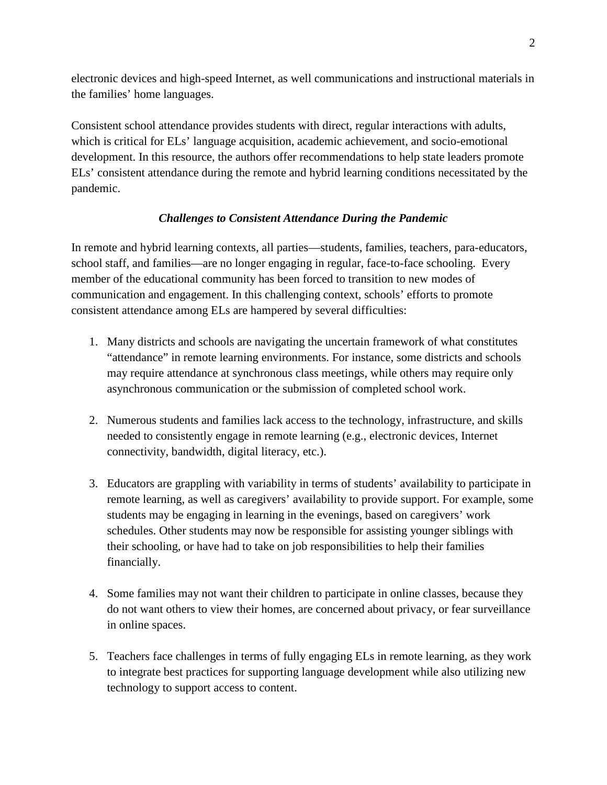electronic devices and high-speed Internet, as well communications and instructional materials in the families' home languages.

Consistent school attendance provides students with direct, regular interactions with adults, which is critical for ELs' language acquisition, academic achievement, and socio-emotional development. In this resource, the authors offer recommendations to help state leaders promote ELs' consistent attendance during the remote and hybrid learning conditions necessitated by the pandemic.

# *Challenges to Consistent Attendance During the Pandemic*

In remote and hybrid learning contexts, all parties—students, families, teachers, para-educators, school staff, and families—are no longer engaging in regular, face-to-face schooling. Every member of the educational community has been forced to transition to new modes of communication and engagement. In this challenging context, schools' efforts to promote consistent attendance among ELs are hampered by several difficulties:

- 1. Many districts and schools are navigating the uncertain framework of what constitutes "attendance" in remote learning environments. For instance, some districts and schools may require attendance at synchronous class meetings, while others may require only asynchronous communication or the submission of completed school work.
- 2. Numerous students and families lack access to the technology, infrastructure, and skills needed to consistently engage in remote learning (e.g., electronic devices, Internet connectivity, bandwidth, digital literacy, etc.).
- 3. Educators are grappling with variability in terms of students' availability to participate in remote learning, as well as caregivers' availability to provide support. For example, some students may be engaging in learning in the evenings, based on caregivers' work schedules. Other students may now be responsible for assisting younger siblings with their schooling, or have had to take on job responsibilities to help their families financially.
- 4. Some families may not want their children to participate in online classes, because they do not want others to view their homes, are concerned about privacy, or fear surveillance in online spaces.
- 5. Teachers face challenges in terms of fully engaging ELs in remote learning, as they work to integrate best practices for supporting language development while also utilizing new technology to support access to content.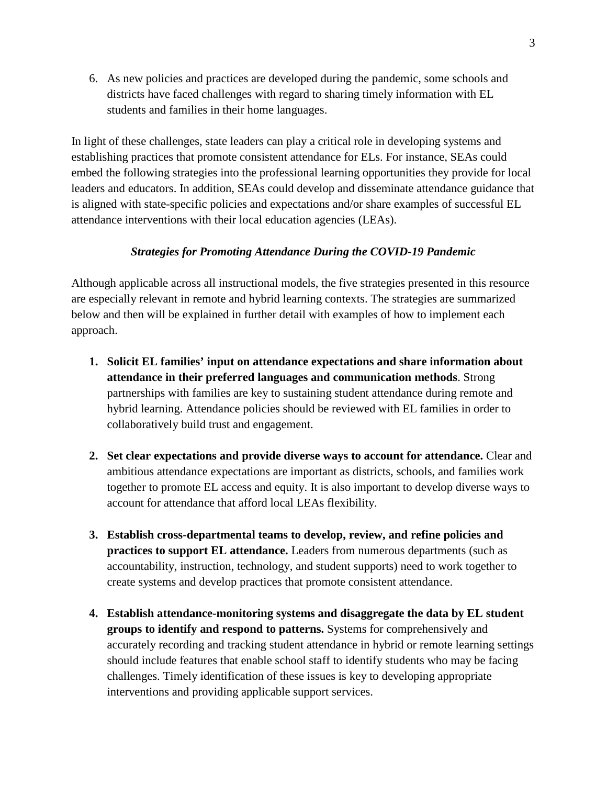6. As new policies and practices are developed during the pandemic, some schools and districts have faced challenges with regard to sharing timely information with EL students and families in their home languages.

In light of these challenges, state leaders can play a critical role in developing systems and establishing practices that promote consistent attendance for ELs. For instance, SEAs could embed the following strategies into the professional learning opportunities they provide for local leaders and educators. In addition, SEAs could develop and disseminate attendance guidance that is aligned with state-specific policies and expectations and/or share examples of successful EL attendance interventions with their local education agencies (LEAs).

#### *Strategies for Promoting Attendance During the COVID-19 Pandemic*

Although applicable across all instructional models, the five strategies presented in this resource are especially relevant in remote and hybrid learning contexts. The strategies are summarized below and then will be explained in further detail with examples of how to implement each approach.

- **1. Solicit EL families' input on attendance expectations and share information about attendance in their preferred languages and communication methods**. Strong partnerships with families are key to sustaining student attendance during remote and hybrid learning. Attendance policies should be reviewed with EL families in order to collaboratively build trust and engagement.
- **2. Set clear expectations and provide diverse ways to account for attendance.** Clear and ambitious attendance expectations are important as districts, schools, and families work together to promote EL access and equity. It is also important to develop diverse ways to account for attendance that afford local LEAs flexibility.
- **3. Establish cross-departmental teams to develop, review, and refine policies and practices to support EL attendance.** Leaders from numerous departments (such as accountability, instruction, technology, and student supports) need to work together to create systems and develop practices that promote consistent attendance.
- **4. Establish attendance-monitoring systems and disaggregate the data by EL student groups to identify and respond to patterns.** Systems for comprehensively and accurately recording and tracking student attendance in hybrid or remote learning settings should include features that enable school staff to identify students who may be facing challenges. Timely identification of these issues is key to developing appropriate interventions and providing applicable support services.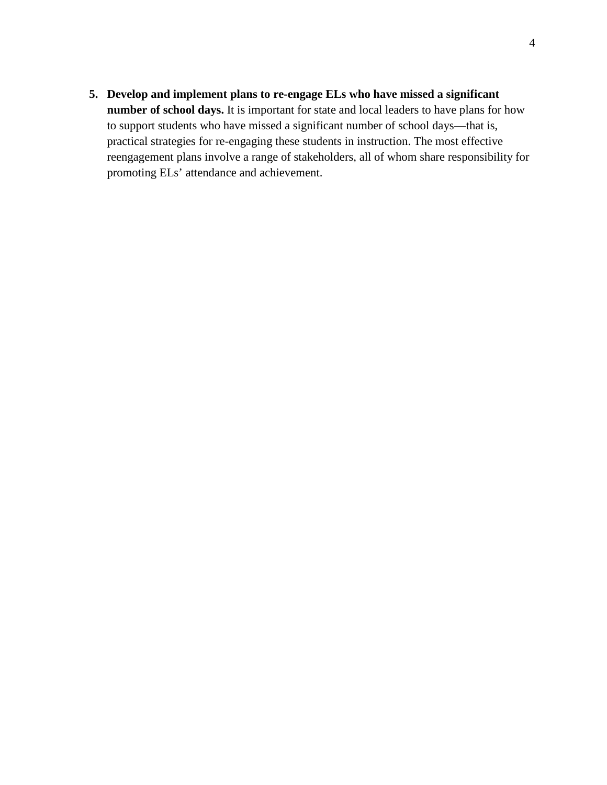**5. Develop and implement plans to re-engage ELs who have missed a significant number of school days.** It is important for state and local leaders to have plans for how to support students who have missed a significant number of school days—that is, practical strategies for re-engaging these students in instruction. The most effective reengagement plans involve a range of stakeholders, all of whom share responsibility for promoting ELs' attendance and achievement.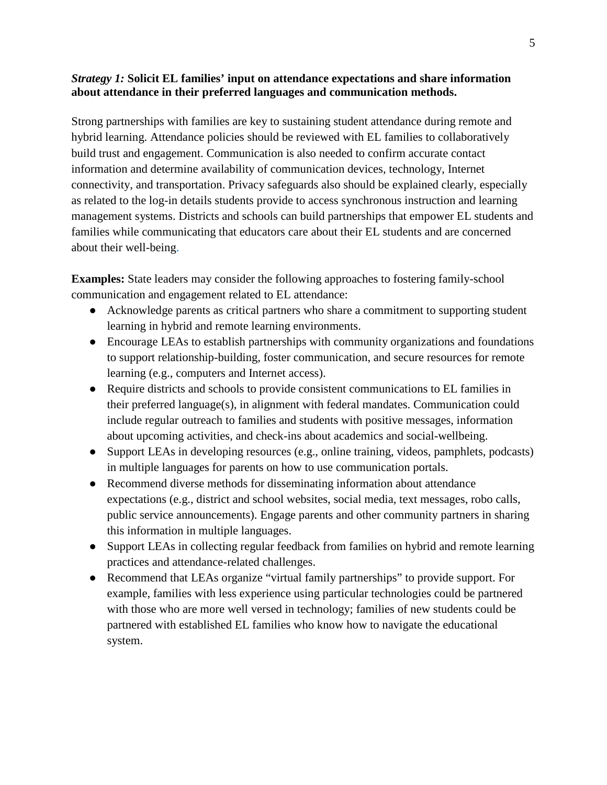### *Strategy 1:* **Solicit EL families' input on attendance expectations and share information about attendance in their preferred languages and communication methods.**

Strong partnerships with families are key to sustaining student attendance during remote and hybrid learning. Attendance policies should be reviewed with EL families to collaboratively build trust and engagement. Communication is also needed to confirm accurate contact information and determine availability of communication devices, technology, Internet connectivity, and transportation. Privacy safeguards also should be explained clearly, especially as related to the log-in details students provide to access synchronous instruction and learning management systems. Districts and schools can build partnerships that empower EL students and families while communicating that educators care about their EL students and are concerned about their well-being.

**Examples:** State leaders may consider the following approaches to fostering family-school communication and engagement related to EL attendance:

- Acknowledge parents as critical partners who share a commitment to supporting student learning in hybrid and remote learning environments.
- Encourage LEAs to establish partnerships with community organizations and foundations to support relationship-building, foster communication, and secure resources for remote learning (e.g., computers and Internet access).
- Require districts and schools to provide consistent communications to EL families in their preferred language(s), in alignment with federal mandates. Communication could include regular outreach to families and students with positive messages, information about upcoming activities, and check-ins about academics and social-wellbeing.
- Support LEAs in developing resources (e.g., online training, videos, pamphlets, podcasts) in multiple languages for parents on how to use communication portals.
- Recommend diverse methods for disseminating information about attendance expectations (e.g., district and school websites, social media, text messages, robo calls, public service announcements). Engage parents and other community partners in sharing this information in multiple languages.
- Support LEAs in collecting regular feedback from families on hybrid and remote learning practices and attendance-related challenges.
- Recommend that LEAs organize "virtual family partnerships" to provide support. For example, families with less experience using particular technologies could be partnered with those who are more well versed in technology; families of new students could be partnered with established EL families who know how to navigate the educational system.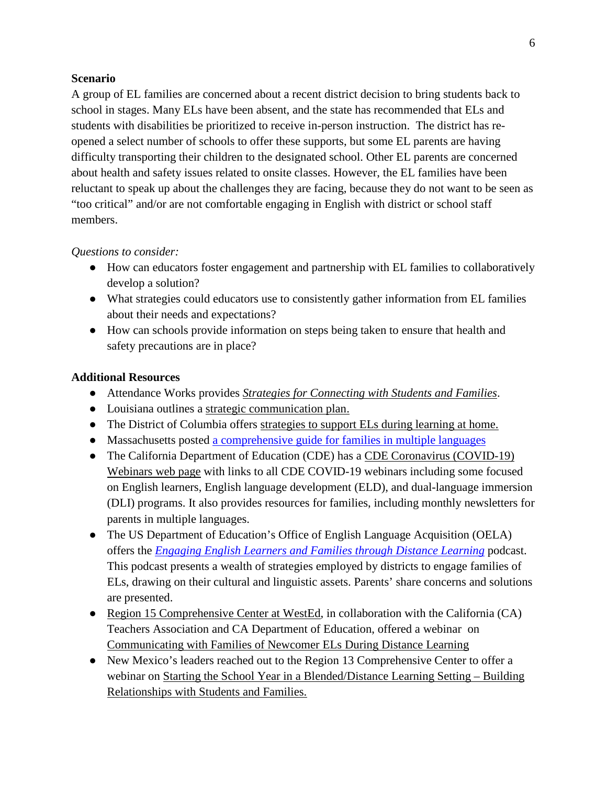A group of EL families are concerned about a recent district decision to bring students back to school in stages. Many ELs have been absent, and the state has recommended that ELs and students with disabilities be prioritized to receive in-person instruction. The district has reopened a select number of schools to offer these supports, but some EL parents are having difficulty transporting their children to the designated school. Other EL parents are concerned about health and safety issues related to onsite classes. However, the EL families have been reluctant to speak up about the challenges they are facing, because they do not want to be seen as "too critical" and/or are not comfortable engaging in English with district or school staff members.

#### *Questions to consider:*

- How can educators foster engagement and partnership with EL families to collaboratively develop a solution?
- What strategies could educators use to consistently gather information from EL families about their needs and expectations?
- How can schools provide information on steps being taken to ensure that health and safety precautions are in place?

#### **Additional Resources**

- Attendance Works provides *[Strategies for Connecting with Students and Families](https://www.attendanceworks.org/wp-content/uploads/2019/06/Strategies-for-Connecting-with-Students-and-Families-rev-8-27-20.pdf)*.
- Louisiana outlines a [strategic communication plan.](https://www.louisianabelieves.com/docs/default-source/strong-start-2020/implementing-strategic-communications-plans.pdf?sfvrsn=6052981f_14)
- The District of Columbia offers [strategies to support ELs during learning at home.](https://osse.dc.gov/sites/default/files/dc/sites/osse/page_content/attachments/COVID-19%20-%20Supporting%20ELs%20During%20Distance%20Learning.pdf)
- Massachusetts posted [a comprehensive guide for families in multiple languages](http://www.doe.mass.edu/covid19/ele/family-guidance/)
- The California Department of Education (CDE) has a CDE Coronavirus (COVID-19) [Webinars web page](https://www.cde.ca.gov/ls/he/hn/covid19webinars.asp) with links to all CDE COVID-19 webinars including some focused on English learners, English language development (ELD), and dual-language immersion (DLI) programs. It also provides resources for families, including monthly newsletters for parents in multiple languages.
- The US Department of Education's Office of English Language Acquisition (OELA) offers the *[Engaging English Learners and Families through Distance Learning](https://soundcloud.com/ed_oela/engaging-english-learners-and-families-through-distance-learning/recommended)* podcast. This podcast presents a wealth of strategies employed by districts to engage families of ELs, drawing on their cultural and linguistic assets. Parents' share concerns and solutions are presented.
- [Region 15 Comprehensive Center at WestEd,](https://www.compcenternetwork.org/meet-centers) in collaboration with the California (CA) Teachers Association and CA Department of Education, offered a webinar on [Communicating with Families of Newcomer ELs During Distance Learning](https://www.wested.org/resources/secondary-communicating-with-families-of-newcomer-english-learners/)
- New Mexico's leaders reached out to the Region 13 Comprehensive Center to offer a webinar on [Starting the School Year in a Blended/Distance Learning Setting – Building](https://www.wested.org/resources/starting-the-school-year-in-a-blended-distance-learning-setting/)  [Relationships with Students and Families.](https://www.wested.org/resources/starting-the-school-year-in-a-blended-distance-learning-setting/)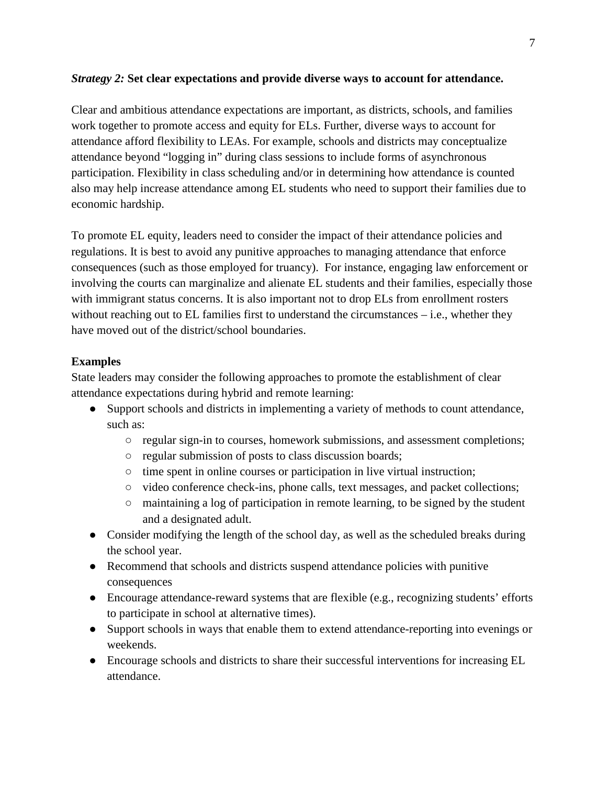### *Strategy 2:* **Set clear expectations and provide diverse ways to account for attendance.**

Clear and ambitious attendance expectations are important, as districts, schools, and families work together to promote access and equity for ELs. Further, diverse ways to account for attendance afford flexibility to LEAs. For example, schools and districts may conceptualize attendance beyond "logging in" during class sessions to include forms of asynchronous participation. Flexibility in class scheduling and/or in determining how attendance is counted also may help increase attendance among EL students who need to support their families due to economic hardship.

To promote EL equity, leaders need to consider the impact of their attendance policies and regulations. It is best to avoid any punitive approaches to managing attendance that enforce consequences (such as those employed for truancy). For instance, engaging law enforcement or involving the courts can marginalize and alienate EL students and their families, especially those with immigrant status concerns. It is also important not to drop ELs from enrollment rosters without reaching out to EL families first to understand the circumstances – i.e., whether they have moved out of the district/school boundaries.

### **Examples**

State leaders may consider the following approaches to promote the establishment of clear attendance expectations during hybrid and remote learning:

- Support schools and districts in implementing a variety of methods to count attendance, such as:
	- regular sign-in to courses, homework submissions, and assessment completions;
	- regular submission of posts to class discussion boards;
	- time spent in online courses or participation in live virtual instruction;
	- video conference check-ins, phone calls, text messages, and packet collections;
	- maintaining [a l](https://www.ksde.org/LinkClick.aspx?fileticket=0lzIIstux2Q%3d&tabid=1414&portalid=0&mid=4995)og of participation in remote learning, to be signed by the student and a designated adult.
- Consider modifying the length of the school day, as well as the scheduled breaks during the school year.
- Recommend that schools and districts suspend attendance policies with punitive consequences
- Encourage attendance-reward systems that are flexible (e.g., recognizing students' efforts to participate in school at alternative times).
- Support schools in ways that enable them to extend attendance-reporting into evenings or weekends.
- Encourage schools and districts to share their successful interventions for increasing EL attendance.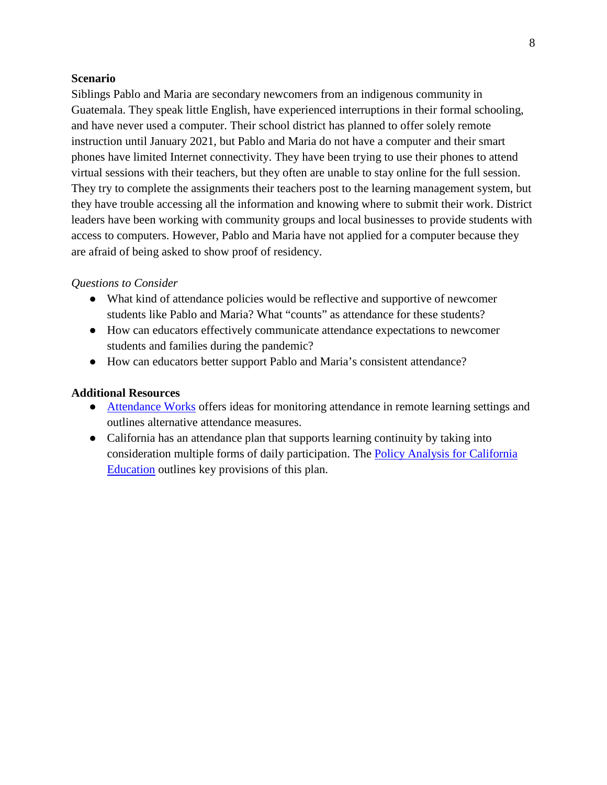Siblings Pablo and Maria are secondary newcomers from an indigenous community in Guatemala. They speak little English, have experienced interruptions in their formal schooling, and have never used a computer. Their school district has planned to offer solely remote instruction until January 2021, but Pablo and Maria do not have a computer and their smart phones have limited Internet connectivity. They have been trying to use their phones to attend virtual sessions with their teachers, but they often are unable to stay online for the full session. They try to complete the assignments their teachers post to the learning management system, but they have trouble accessing all the information and knowing where to submit their work. District leaders have been working with community groups and local businesses to provide students with access to computers. However, Pablo and Maria have not applied for a computer because they are afraid of being asked to show proof of residency.

#### *Questions to Consider*

- What kind of attendance policies would be reflective and supportive of newcomer students like Pablo and Maria? What "counts" as attendance for these students?
- How can educators effectively communicate attendance expectations to newcomer students and families during the pandemic?
- How can educators better support Pablo and Maria's consistent attendance?

#### **Additional Resources**

- [Attendance Works](https://www.attendanceworks.org/chronic-absence/addressing-chronic-absence/monitoring-attendance-in-distance-learning/) offers ideas for monitoring attendance in remote learning settings and outlines alternative attendance measures.
- California has an attendance plan that supports learning continuity by taking into consideration multiple forms of daily participation. The [Policy Analysis for California](https://edpolicyinca.org/newsroom/measuring-daily-attendance-and-participation-during-covid-19)  [Education](https://edpolicyinca.org/newsroom/measuring-daily-attendance-and-participation-during-covid-19) outlines key provisions of this plan.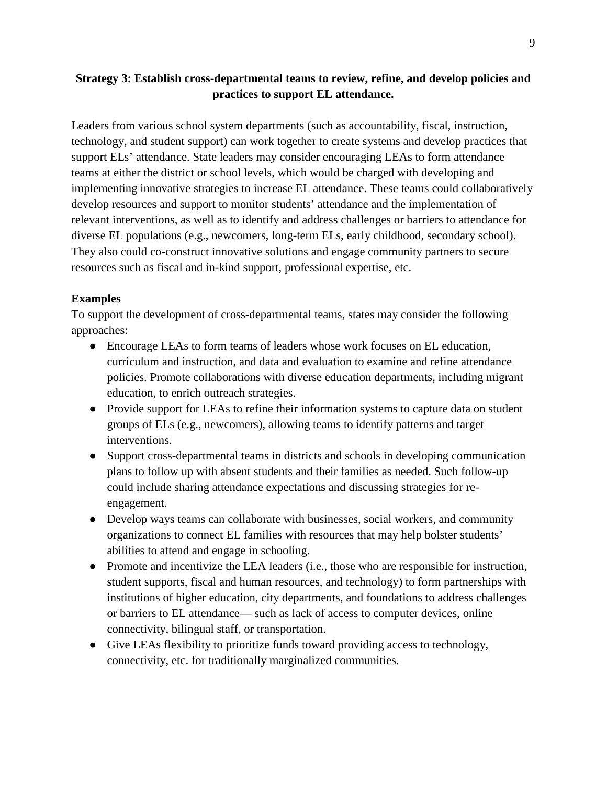## **Strategy 3: Establish cross-departmental teams to review, refine, and develop policies and practices to support EL attendance.**

Leaders from various school system departments (such as accountability, fiscal, instruction, technology, and student support) can work together to create systems and develop practices that support ELs' attendance. State leaders may consider encouraging LEAs to form attendance teams at either the district or school levels, which would be charged with developing and implementing innovative strategies to increase EL attendance. These teams could collaboratively develop resources and support to monitor students' attendance and the implementation of relevant interventions, as well as to identify and address challenges or barriers to attendance for diverse EL populations (e.g., newcomers, long-term ELs, early childhood, secondary school). They also could co-construct innovative solutions and engage community partners to secure resources such as fiscal and in-kind support, professional expertise, etc.

### **Examples**

To support the development of cross-departmental teams, states may consider the following approaches:

- Encourage LEAs to form teams of leaders whose work focuses on EL education, curriculum and instruction, and data and evaluation to examine and refine attendance policies. Promote collaborations with diverse education departments, including migrant education, to enrich outreach strategies.
- Provide support for LEAs to refine their information systems to capture data on student groups of ELs (e.g., newcomers), allowing teams to identify patterns and target interventions.
- Support cross-departmental teams in districts and schools in developing communication plans to follow up with absent students and their families as needed. Such follow-up could include sharing attendance expectations and discussing strategies for reengagement.
- Develop ways teams can collaborate with businesses, social workers, and community organizations to connect EL families with resources that may help bolster students' abilities to attend and engage in schooling.
- Promote and incentivize the LEA leaders (i.e., those who are responsible for instruction, student supports, fiscal and human resources, and technology) to form partnerships with institutions of higher education, city departments, and foundations to address challenges or barriers to EL attendance— such as lack of access to computer devices, online connectivity, bilingual staff, or transportation.
- Give LEAs flexibility to prioritize funds toward providing access to technology, connectivity, etc. for traditionally marginalized communities.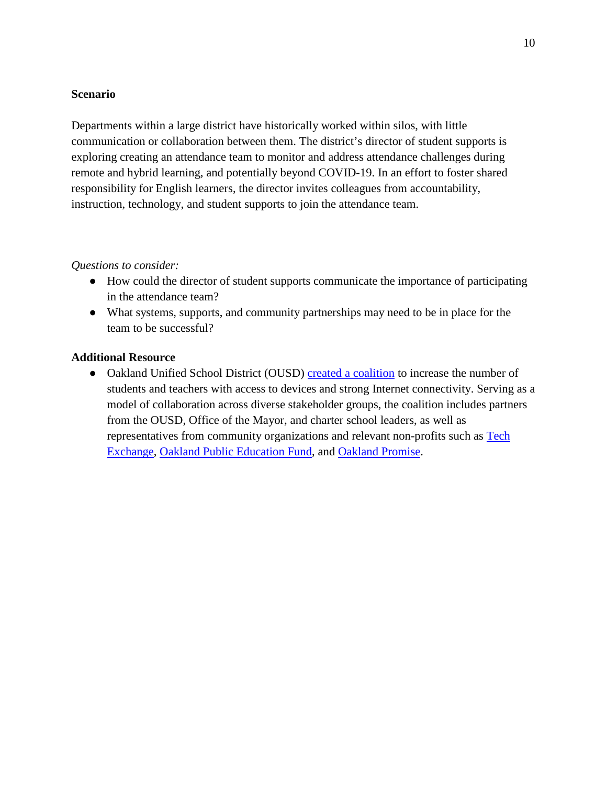Departments within a large district have historically worked within silos, with little communication or collaboration between them. The district's director of student supports is exploring creating an attendance team to monitor and address attendance challenges during remote and hybrid learning, and potentially beyond COVID-19. In an effort to foster shared responsibility for English learners, the director invites colleagues from accountability, instruction, technology, and student supports to join the attendance team.

#### *Questions to consider:*

- How could the director of student supports communicate the importance of participating in the attendance team?
- What systems, supports, and community partnerships may need to be in place for the team to be successful?

#### **Additional Resource**

• Oakland Unified School District (OUSD) [created a coalition](https://www.oaklandedfund.org/oaklandundivided/) to increase the number of students and teachers with access to devices and strong Internet connectivity. Serving as a model of collaboration across diverse stakeholder groups, the coalition includes partners from the OUSD, Office of the Mayor, and charter school leaders, as well as representatives from community organizations and relevant non-profits such as [Tech](https://www.techexchange.org/)  [Exchange,](https://www.techexchange.org/) [Oakland Public Education Fund,](https://www.oaklandedfund.org/) and [Oakland Promise.](https://oaklandpromise.org/about-op-2/)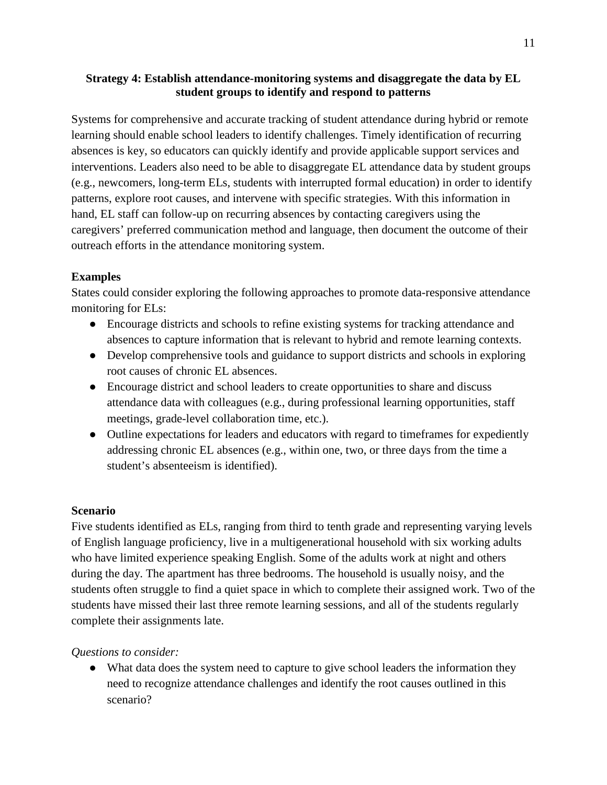**Strategy 4: Establish attendance-monitoring systems and disaggregate the data by EL student groups to identify and respond to patterns**

Systems for comprehensive and accurate tracking of student attendance during hybrid or remote learning should enable school leaders to identify challenges. Timely identification of recurring absences is key, so educators can quickly identify and provide applicable support services and interventions. Leaders also need to be able to disaggregate EL attendance data by student groups (e.g., newcomers, long-term ELs, students with interrupted formal education) in order to identify patterns, explore root causes, and intervene with specific strategies. With this information in hand, EL staff can follow-up on recurring absences by contacting caregivers using the caregivers' preferred communication method and language, then document the outcome of their outreach efforts in the attendance monitoring system.

# **Examples**

States could consider exploring the following approaches to promote data-responsive attendance monitoring for ELs:

- Encourage districts and schools to refine existing systems for tracking attendance and absences to capture information that is relevant to hybrid and remote learning contexts.
- Develop comprehensive tools and guidance to support districts and schools in exploring root causes of chronic EL absences.
- Encourage district and school leaders to create opportunities to share and discuss attendance data with colleagues (e.g., during professional learning opportunities, staff meetings, grade-level collaboration time, etc.).
- Outline expectations for leaders and educators with regard to time frames for expediently addressing chronic EL absences (e.g., within one, two, or three days from the time a student's absenteeism is identified).

## **Scenario**

Five students identified as ELs, ranging from third to tenth grade and representing varying levels of English language proficiency, live in a multigenerational household with six working adults who have limited experience speaking English. Some of the adults work at night and others during the day. The apartment has three bedrooms. The household is usually noisy, and the students often struggle to find a quiet space in which to complete their assigned work. Two of the students have missed their last three remote learning sessions, and all of the students regularly complete their assignments late.

## *Questions to consider:*

• What data does the system need to capture to give school leaders the information they need to recognize attendance challenges and identify the root causes outlined in this scenario?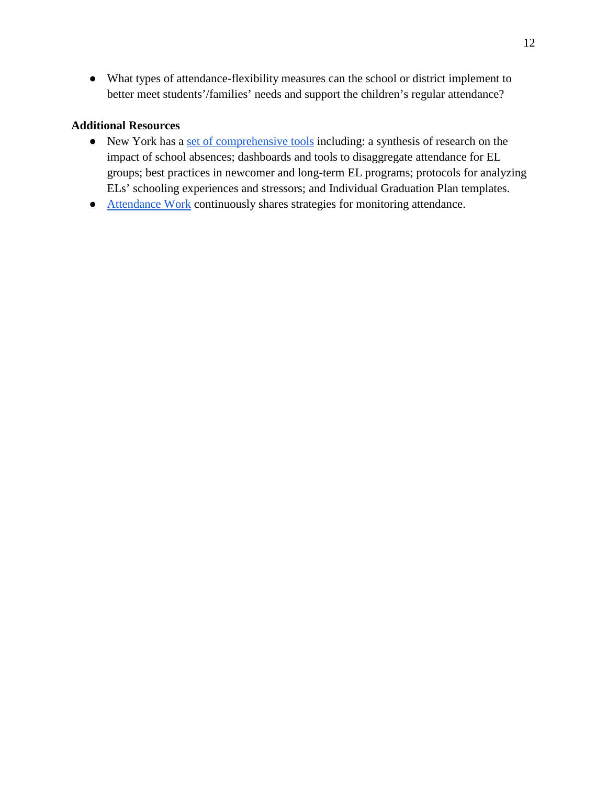● What types of attendance-flexibility measures can the school or district implement to better meet students'/families' needs and support the children's regular attendance?

## **Additional Resources**

- New York has a [set of comprehensive tools](http://www.nysed.gov/bilingual-ed/exercises-templates-and-additional-resources-mllell-graduation-rate-improvement-drop) including: a synthesis of research on the impact of school absences; dashboards and tools to disaggregate attendance for EL groups; best practices in newcomer and long-term EL programs; protocols for analyzing ELs' schooling experiences and stressors; and Individual Graduation Plan templates.
- [Attendance Work](https://www.attendanceworks.org/chronic-absence/addressing-chronic-absence/monitoring-attendance-in-distance-learning/#:%7E:text=These%20strategies%20include%20reaching%20out,rather%20than%20absenteeism%20per%20se) continuously shares strategies for monitoring attendance.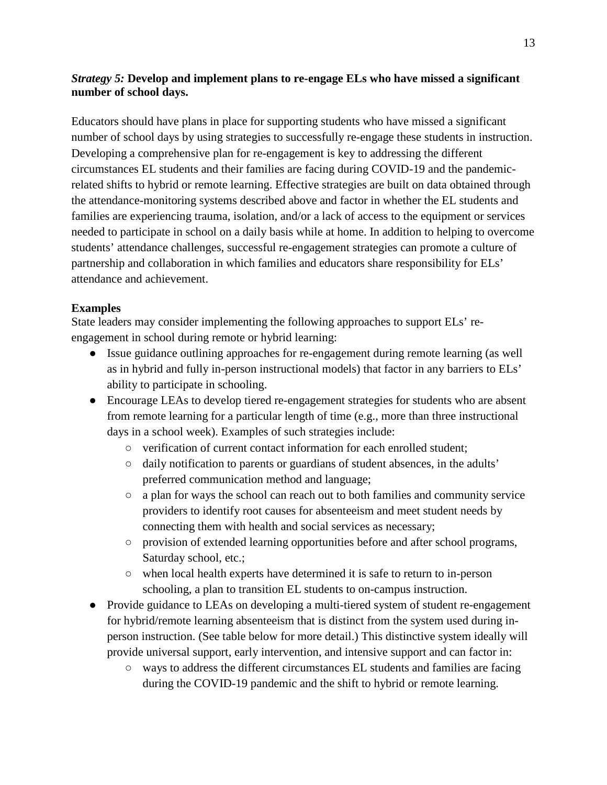## *Strategy 5:* **Develop and implement plans to re-engage ELs who have missed a significant number of school days.**

Educators should have plans in place for supporting students who have missed a significant number of school days by using strategies to successfully re-engage these students in instruction. Developing a comprehensive plan for re-engagement is key to addressing the different circumstances EL students and their families are facing during COVID-19 and the pandemicrelated shifts to hybrid or remote learning. Effective strategies are built on data obtained through the attendance-monitoring systems described above and factor in whether the EL students and families are experiencing trauma, isolation, and/or a lack of access to the equipment or services needed to participate in school on a daily basis while at home. In addition to helping to overcome students' attendance challenges, successful re-engagement strategies can promote a culture of partnership and collaboration in which families and educators share responsibility for ELs' attendance and achievement.

## **Examples**

State leaders may consider implementing the following approaches to support ELs' reengagement in school during remote or hybrid learning:

- Issue guidance outlining approaches for re-engagement during remote learning (as well as in hybrid and fully in-person instructional models) that factor in any barriers to ELs' ability to participate in schooling.
- Encourage LEAs to develop tiered re-engagement strategies for students who are absent from remote learning for a particular length of time (e.g., more than three instructional days in a school week). Examples of such strategies include:
	- verification of current contact information for each enrolled student;
	- daily notification to parents or guardians of student absences, in the adults' preferred communication method and language;
	- a plan for ways the school can reach out to both families and community service providers to identify root causes for absenteeism and meet student needs by connecting them with health and social services as necessary;
	- provision of extended learning opportunities before and after school programs, Saturday school, etc.;
	- when local health experts have determined it is safe to return to in-person schooling, a plan to transition EL students to on-campus instruction.
- Provide guidance to LEAs on developing a multi-tiered system of student re-engagement for hybrid/remote learning absenteeism that is distinct from the system used during inperson instruction. (See table below for more detail.) This distinctive system ideally will provide universal support, early intervention, and intensive support and can factor in:
	- ways to address the different circumstances EL students and families are facing during the COVID-19 pandemic and the shift to hybrid or remote learning.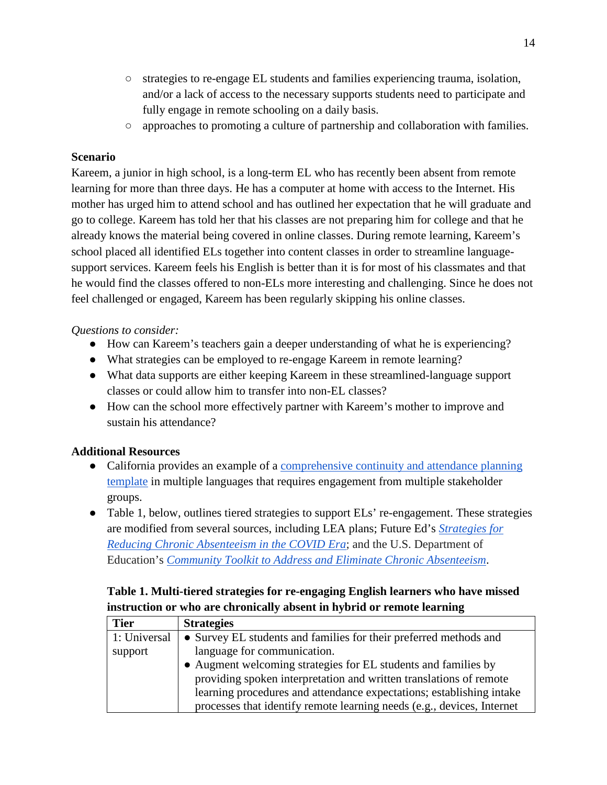- strategies to re-engage EL students and families experiencing trauma, isolation, and/or a lack of access to the necessary supports students need to participate and fully engage in remote schooling on a daily basis.
- approaches to promoting a culture of partnership and collaboration with families.

Kareem, a junior in high school, is a long-term EL who has recently been absent from remote learning for more than three days. He has a computer at home with access to the Internet. His mother has urged him to attend school and has outlined her expectation that he will graduate and go to college. Kareem has told her that his classes are not preparing him for college and that he already knows the material being covered in online classes. During remote learning, Kareem's school placed all identified ELs together into content classes in order to streamline languagesupport services. Kareem feels his English is better than it is for most of his classmates and that he would find the classes offered to non-ELs more interesting and challenging. Since he does not feel challenged or engaged, Kareem has been regularly skipping his online classes.

# *Questions to consider:*

- How can Kareem's teachers gain a deeper understanding of what he is experiencing?
- What strategies can be employed to re-engage Kareem in remote learning?
- What data supports are either keeping Kareem in these streamlined-language support classes or could allow him to transfer into non-EL classes?
- How can the school more effectively partner with Kareem's mother to improve and sustain his attendance?

# **Additional Resources**

- California provides an example of a comprehensive continuity and attendance planning [template](https://www.cde.ca.gov/re/lc/documents/lrngcntntyatndncpln-template.docx) in multiple languages that requires engagement from multiple stakeholder groups.
- Table 1, below, outlines tiered strategies to support ELs' re-engagement. These strategies are modified from several sources, including LEA plans; Future Ed's *[Strategies for](https://www.future-ed.org/wp-content/uploads/2020/06/REPORT_Attendance-Playbook-Covid-Edition-1.pdf)  [Reducing Chronic Absenteeism in the COVID Era](https://www.future-ed.org/wp-content/uploads/2020/06/REPORT_Attendance-Playbook-Covid-Edition-1.pdf)*; and the U.S. Department of Education's *[Community Toolkit to Address and Eliminate Chronic Absenteeism](https://www2.ed.gov/about/inits/ed/chronicabsenteeism/toolkit.pdf)*.

# **Table 1. Multi-tiered strategies for re-engaging English learners who have missed instruction or who are chronically absent in hybrid or remote learning**

| <b>Tier</b>  | <b>Strategies</b>                                                      |
|--------------|------------------------------------------------------------------------|
| 1: Universal | • Survey EL students and families for their preferred methods and      |
| support      | language for communication.                                            |
|              | • Augment welcoming strategies for EL students and families by         |
|              | providing spoken interpretation and written translations of remote     |
|              | learning procedures and attendance expectations; establishing intake   |
|              | processes that identify remote learning needs (e.g., devices, Internet |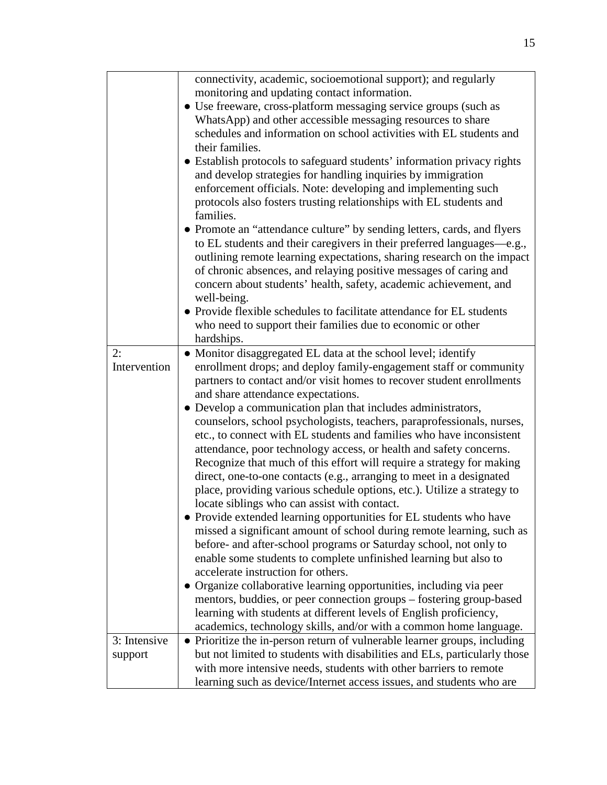|              | connectivity, academic, socioemotional support); and regularly<br>monitoring and updating contact information.<br>• Use freeware, cross-platform messaging service groups (such as<br>WhatsApp) and other accessible messaging resources to share<br>schedules and information on school activities with EL students and<br>their families.<br>• Establish protocols to safeguard students' information privacy rights<br>and develop strategies for handling inquiries by immigration<br>enforcement officials. Note: developing and implementing such<br>protocols also fosters trusting relationships with EL students and<br>families.<br>• Promote an "attendance culture" by sending letters, cards, and flyers<br>to EL students and their caregivers in their preferred languages—e.g.,<br>outlining remote learning expectations, sharing research on the impact<br>of chronic absences, and relaying positive messages of caring and<br>concern about students' health, safety, academic achievement, and<br>well-being.<br>• Provide flexible schedules to facilitate attendance for EL students<br>who need to support their families due to economic or other<br>hardships. |
|--------------|------------------------------------------------------------------------------------------------------------------------------------------------------------------------------------------------------------------------------------------------------------------------------------------------------------------------------------------------------------------------------------------------------------------------------------------------------------------------------------------------------------------------------------------------------------------------------------------------------------------------------------------------------------------------------------------------------------------------------------------------------------------------------------------------------------------------------------------------------------------------------------------------------------------------------------------------------------------------------------------------------------------------------------------------------------------------------------------------------------------------------------------------------------------------------------------|
| 2:           | • Monitor disaggregated EL data at the school level; identify                                                                                                                                                                                                                                                                                                                                                                                                                                                                                                                                                                                                                                                                                                                                                                                                                                                                                                                                                                                                                                                                                                                            |
| Intervention | enrollment drops; and deploy family-engagement staff or community                                                                                                                                                                                                                                                                                                                                                                                                                                                                                                                                                                                                                                                                                                                                                                                                                                                                                                                                                                                                                                                                                                                        |
|              | partners to contact and/or visit homes to recover student enrollments                                                                                                                                                                                                                                                                                                                                                                                                                                                                                                                                                                                                                                                                                                                                                                                                                                                                                                                                                                                                                                                                                                                    |
|              | and share attendance expectations.<br>• Develop a communication plan that includes administrators,                                                                                                                                                                                                                                                                                                                                                                                                                                                                                                                                                                                                                                                                                                                                                                                                                                                                                                                                                                                                                                                                                       |
|              | counselors, school psychologists, teachers, paraprofessionals, nurses,                                                                                                                                                                                                                                                                                                                                                                                                                                                                                                                                                                                                                                                                                                                                                                                                                                                                                                                                                                                                                                                                                                                   |
|              | etc., to connect with EL students and families who have inconsistent                                                                                                                                                                                                                                                                                                                                                                                                                                                                                                                                                                                                                                                                                                                                                                                                                                                                                                                                                                                                                                                                                                                     |
|              | attendance, poor technology access, or health and safety concerns.                                                                                                                                                                                                                                                                                                                                                                                                                                                                                                                                                                                                                                                                                                                                                                                                                                                                                                                                                                                                                                                                                                                       |
|              | Recognize that much of this effort will require a strategy for making                                                                                                                                                                                                                                                                                                                                                                                                                                                                                                                                                                                                                                                                                                                                                                                                                                                                                                                                                                                                                                                                                                                    |
|              | direct, one-to-one contacts (e.g., arranging to meet in a designated                                                                                                                                                                                                                                                                                                                                                                                                                                                                                                                                                                                                                                                                                                                                                                                                                                                                                                                                                                                                                                                                                                                     |
|              | place, providing various schedule options, etc.). Utilize a strategy to                                                                                                                                                                                                                                                                                                                                                                                                                                                                                                                                                                                                                                                                                                                                                                                                                                                                                                                                                                                                                                                                                                                  |
|              | locate siblings who can assist with contact.<br>• Provide extended learning opportunities for EL students who have                                                                                                                                                                                                                                                                                                                                                                                                                                                                                                                                                                                                                                                                                                                                                                                                                                                                                                                                                                                                                                                                       |
|              | missed a significant amount of school during remote learning, such as                                                                                                                                                                                                                                                                                                                                                                                                                                                                                                                                                                                                                                                                                                                                                                                                                                                                                                                                                                                                                                                                                                                    |
|              | before- and after-school programs or Saturday school, not only to                                                                                                                                                                                                                                                                                                                                                                                                                                                                                                                                                                                                                                                                                                                                                                                                                                                                                                                                                                                                                                                                                                                        |
|              | enable some students to complete unfinished learning but also to                                                                                                                                                                                                                                                                                                                                                                                                                                                                                                                                                                                                                                                                                                                                                                                                                                                                                                                                                                                                                                                                                                                         |
|              | accelerate instruction for others.                                                                                                                                                                                                                                                                                                                                                                                                                                                                                                                                                                                                                                                                                                                                                                                                                                                                                                                                                                                                                                                                                                                                                       |
|              | • Organize collaborative learning opportunities, including via peer                                                                                                                                                                                                                                                                                                                                                                                                                                                                                                                                                                                                                                                                                                                                                                                                                                                                                                                                                                                                                                                                                                                      |
|              | mentors, buddies, or peer connection groups – fostering group-based                                                                                                                                                                                                                                                                                                                                                                                                                                                                                                                                                                                                                                                                                                                                                                                                                                                                                                                                                                                                                                                                                                                      |
|              | learning with students at different levels of English proficiency,                                                                                                                                                                                                                                                                                                                                                                                                                                                                                                                                                                                                                                                                                                                                                                                                                                                                                                                                                                                                                                                                                                                       |
| 3: Intensive | academics, technology skills, and/or with a common home language.<br>• Prioritize the in-person return of vulnerable learner groups, including                                                                                                                                                                                                                                                                                                                                                                                                                                                                                                                                                                                                                                                                                                                                                                                                                                                                                                                                                                                                                                           |
| support      | but not limited to students with disabilities and ELs, particularly those                                                                                                                                                                                                                                                                                                                                                                                                                                                                                                                                                                                                                                                                                                                                                                                                                                                                                                                                                                                                                                                                                                                |
|              | with more intensive needs, students with other barriers to remote                                                                                                                                                                                                                                                                                                                                                                                                                                                                                                                                                                                                                                                                                                                                                                                                                                                                                                                                                                                                                                                                                                                        |
|              | learning such as device/Internet access issues, and students who are                                                                                                                                                                                                                                                                                                                                                                                                                                                                                                                                                                                                                                                                                                                                                                                                                                                                                                                                                                                                                                                                                                                     |